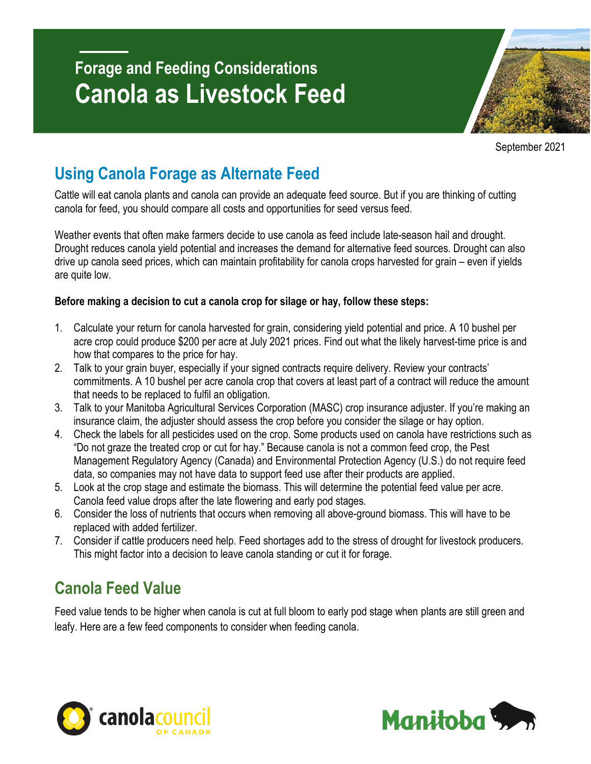# **Forage and Feeding Considerations Canola as Livestock Feed**

September 2021

### **Using Canola Forage as Alternate Feed**

Cattle will eat canola plants and canola can provide an adequate feed source. But if you are thinking of cutting canola for feed, you should compare all costs and opportunities for seed versus feed.

Weather events that often make farmers decide to use canola as feed include late-season hail and drought. Drought reduces canola yield potential and increases the demand for alternative feed sources. Drought can also drive up canola seed prices, which can maintain profitability for canola crops harvested for grain – even if yields are quite low.

### **Before making a decision to cut a canola crop for silage or hay, follow these steps:**

- 1. Calculate your return for canola harvested for grain, considering yield potential and price. A 10 bushel per acre crop could produce \$200 per acre at July 2021 prices. Find out what the likely harvest-time price is and how that compares to the price for hay.
- 2. Talk to your grain buyer, especially if your signed contracts require delivery. Review your contracts' commitments. A 10 bushel per acre canola crop that covers at least part of a contract will reduce the amount that needs to be replaced to fulfil an obligation.
- 3. Talk to your Manitoba Agricultural Services Corporation (MASC) crop insurance adjuster. If you're making an insurance claim, the adjuster should assess the crop before you consider the silage or hay option.
- 4. Check the labels for all pesticides used on the crop. Some products used on canola have restrictions such as "Do not graze the treated crop or cut for hay." Because canola is not a common feed crop, the Pest Management Regulatory Agency (Canada) and Environmental Protection Agency (U.S.) do not require feed data, so companies may not have data to support feed use after their products are applied.
- 5. Look at the crop stage and estimate the biomass. This will determine the potential feed value per acre. Canola feed value drops after the late flowering and early pod stages.
- 6. Consider the loss of nutrients that occurs when removing all above-ground biomass. This will have to be replaced with added fertilizer.
- 7. Consider if cattle producers need help. Feed shortages add to the stress of drought for livestock producers. This might factor into a decision to leave canola standing or cut it for forage.

### **Canola Feed Value**

Feed value tends to be higher when canola is cut at full bloom to early pod stage when plants are still green and leafy. Here are a few feed components to consider when feeding canola.



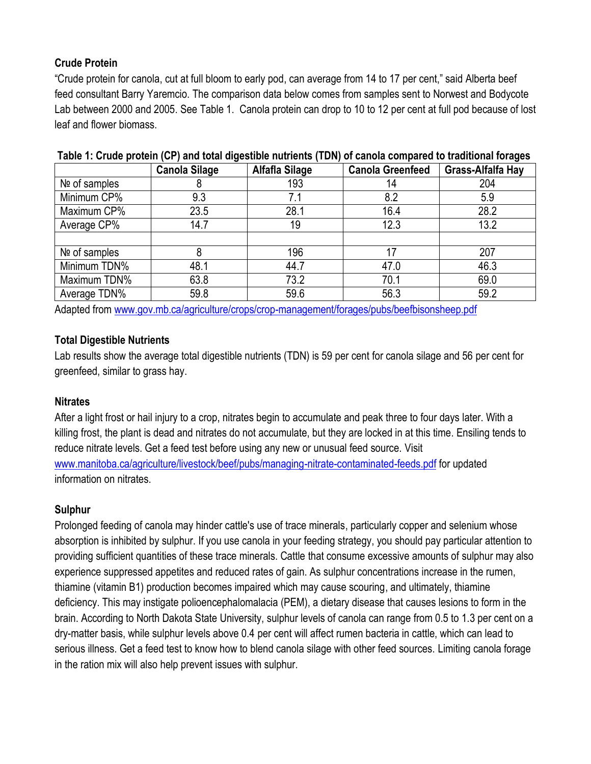#### **Crude Protein**

"Crude protein for canola, cut at full bloom to early pod, can average from 14 to 17 per cent," said Alberta beef feed consultant Barry Yaremcio. The comparison data below comes from samples sent to Norwest and Bodycote Lab between 2000 and 2005. See Table 1. Canola protein can drop to 10 to 12 per cent at full pod because of lost leaf and flower biomass.

|               | <b>Canola Silage</b> | Alfafla Silage | <b>Canola Greenfeed</b> | ັ<br>Grass-Alfalfa Hay |
|---------------|----------------------|----------------|-------------------------|------------------------|
| Nº of samples | ŏ                    | 193            | 14                      | 204                    |
| Minimum CP%   | 9.3                  | 7.1            | 8.2                     | 5.9                    |
| Maximum CP%   | 23.5                 | 28.1           | 16.4                    | 28.2                   |
| Average CP%   | 14.7                 | 19             | 12.3                    | 13.2                   |
|               |                      |                |                         |                        |
| Nº of samples | 8                    | 196            | 17                      | 207                    |
| Minimum TDN%  | 48.1                 | 44.7           | 47.0                    | 46.3                   |
| Maximum TDN%  | 63.8                 | 73.2           | 70.1                    | 69.0                   |
| Average TDN%  | 59.8                 | 59.6           | 56.3                    | 59.2                   |

#### **Table 1: Crude protein (CP) and total digestible nutrients (TDN) of canola compared to traditional forages**

Adapted from [www.gov.mb.ca/agriculture/crops/crop-management/forages/pubs/beefbisonsheep.pdf](https://www.gov.mb.ca/agriculture/crops/crop-management/forages/pubs/beefbisonsheep.pdf)

#### **Total Digestible Nutrients**

Lab results show the average total digestible nutrients (TDN) is 59 per cent for canola silage and 56 per cent for greenfeed, similar to grass hay.

#### **Nitrates**

After a light frost or hail injury to a crop, nitrates begin to accumulate and peak three to four days later. With a killing frost, the plant is dead and nitrates do not accumulate, but they are locked in at this time. Ensiling tends to reduce nitrate levels. Get a feed test before using any new or unusual feed source. Visit [www.manitoba.ca/agriculture/livestock/beef/pubs/managing-nitrate-contaminated-feeds.pdf](https://www.manitoba.ca/agriculture/livestock/beef/pubs/managing-nitrate-contaminated-feeds.pdf) for updated information on nitrates.

#### **Sulphur**

Prolonged feeding of canola may hinder cattle's use of trace minerals, particularly copper and selenium whose absorption is inhibited by sulphur. If you use canola in your feeding strategy, you should pay particular attention to providing sufficient quantities of these trace minerals. Cattle that consume excessive amounts of sulphur may also experience suppressed appetites and reduced rates of gain. As sulphur concentrations increase in the rumen, thiamine (vitamin B1) production becomes impaired which may cause scouring, and ultimately, thiamine deficiency. This may instigate polioencephalomalacia (PEM), a dietary disease that causes lesions to form in the brain. According to North Dakota State University, sulphur levels of canola can range from 0.5 to 1.3 per cent on a dry-matter basis, while sulphur levels above 0.4 per cent will affect rumen bacteria in cattle, which can lead to serious illness. Get a feed test to know how to blend canola silage with other feed sources. Limiting canola forage in the ration mix will also help prevent issues with sulphur.